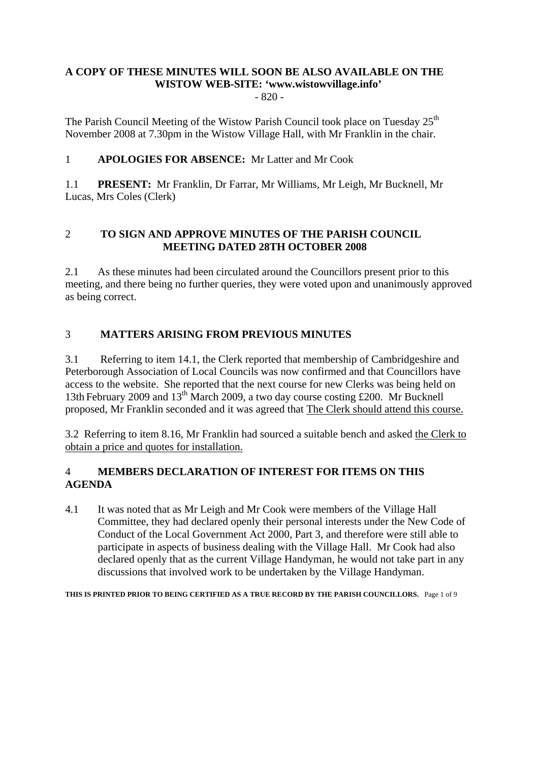# **A COPY OF THESE MINUTES WILL SOON BE ALSO AVAILABLE ON THE WISTOW WEB-SITE: 'www.wistowvillage.info'**

- 820 -

The Parish Council Meeting of the Wistow Parish Council took place on Tuesday  $25<sup>th</sup>$ November 2008 at 7.30pm in the Wistow Village Hall, with Mr Franklin in the chair.

# 1 **APOLOGIES FOR ABSENCE:** Mr Latter and Mr Cook

1.1 **PRESENT:** Mr Franklin, Dr Farrar, Mr Williams, Mr Leigh, Mr Bucknell, Mr Lucas, Mrs Coles (Clerk)

# 2 **TO SIGN AND APPROVE MINUTES OF THE PARISH COUNCIL MEETING DATED 28TH OCTOBER 2008**

2.1 As these minutes had been circulated around the Councillors present prior to this meeting, and there being no further queries, they were voted upon and unanimously approved as being correct.

# 3 **MATTERS ARISING FROM PREVIOUS MINUTES**

3.1 Referring to item 14.1, the Clerk reported that membership of Cambridgeshire and Peterborough Association of Local Councils was now confirmed and that Councillors have access to the website. She reported that the next course for new Clerks was being held on 13th February 2009 and 13th March 2009, a two day course costing £200. Mr Bucknell proposed, Mr Franklin seconded and it was agreed that The Clerk should attend this course.

3.2 Referring to item 8.16, Mr Franklin had sourced a suitable bench and asked the Clerk to obtain a price and quotes for installation.

# 4 **MEMBERS DECLARATION OF INTEREST FOR ITEMS ON THIS AGENDA**

4.1 It was noted that as Mr Leigh and Mr Cook were members of the Village Hall Committee, they had declared openly their personal interests under the New Code of Conduct of the Local Government Act 2000, Part 3, and therefore were still able to participate in aspects of business dealing with the Village Hall. Mr Cook had also declared openly that as the current Village Handyman, he would not take part in any discussions that involved work to be undertaken by the Village Handyman.

**THIS IS PRINTED PRIOR TO BEING CERTIFIED AS A TRUE RECORD BY THE PARISH COUNCILLORS.** Page 1 of 9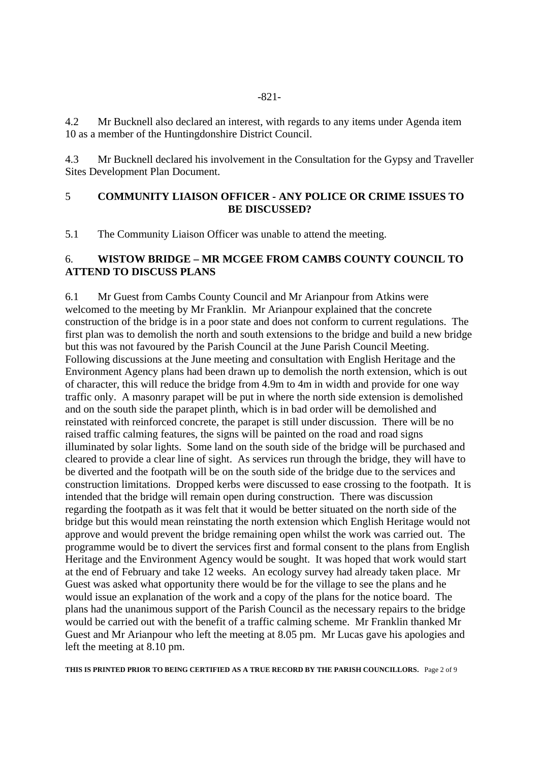4.2 Mr Bucknell also declared an interest, with regards to any items under Agenda item 10 as a member of the Huntingdonshire District Council.

4.3 Mr Bucknell declared his involvement in the Consultation for the Gypsy and Traveller Sites Development Plan Document.

#### 5 **COMMUNITY LIAISON OFFICER - ANY POLICE OR CRIME ISSUES TO BE DISCUSSED?**

5.1 The Community Liaison Officer was unable to attend the meeting.

#### 6. **WISTOW BRIDGE – MR MCGEE FROM CAMBS COUNTY COUNCIL TO ATTEND TO DISCUSS PLANS**

6.1 Mr Guest from Cambs County Council and Mr Arianpour from Atkins were welcomed to the meeting by Mr Franklin. Mr Arianpour explained that the concrete construction of the bridge is in a poor state and does not conform to current regulations. The first plan was to demolish the north and south extensions to the bridge and build a new bridge but this was not favoured by the Parish Council at the June Parish Council Meeting. Following discussions at the June meeting and consultation with English Heritage and the Environment Agency plans had been drawn up to demolish the north extension, which is out of character, this will reduce the bridge from 4.9m to 4m in width and provide for one way traffic only. A masonry parapet will be put in where the north side extension is demolished and on the south side the parapet plinth, which is in bad order will be demolished and reinstated with reinforced concrete, the parapet is still under discussion. There will be no raised traffic calming features, the signs will be painted on the road and road signs illuminated by solar lights. Some land on the south side of the bridge will be purchased and cleared to provide a clear line of sight. As services run through the bridge, they will have to be diverted and the footpath will be on the south side of the bridge due to the services and construction limitations. Dropped kerbs were discussed to ease crossing to the footpath. It is intended that the bridge will remain open during construction. There was discussion regarding the footpath as it was felt that it would be better situated on the north side of the bridge but this would mean reinstating the north extension which English Heritage would not approve and would prevent the bridge remaining open whilst the work was carried out. The programme would be to divert the services first and formal consent to the plans from English Heritage and the Environment Agency would be sought. It was hoped that work would start at the end of February and take 12 weeks. An ecology survey had already taken place. Mr Guest was asked what opportunity there would be for the village to see the plans and he would issue an explanation of the work and a copy of the plans for the notice board. The plans had the unanimous support of the Parish Council as the necessary repairs to the bridge would be carried out with the benefit of a traffic calming scheme. Mr Franklin thanked Mr Guest and Mr Arianpour who left the meeting at 8.05 pm. Mr Lucas gave his apologies and left the meeting at 8.10 pm.

**THIS IS PRINTED PRIOR TO BEING CERTIFIED AS A TRUE RECORD BY THE PARISH COUNCILLORS.** Page 2 of 9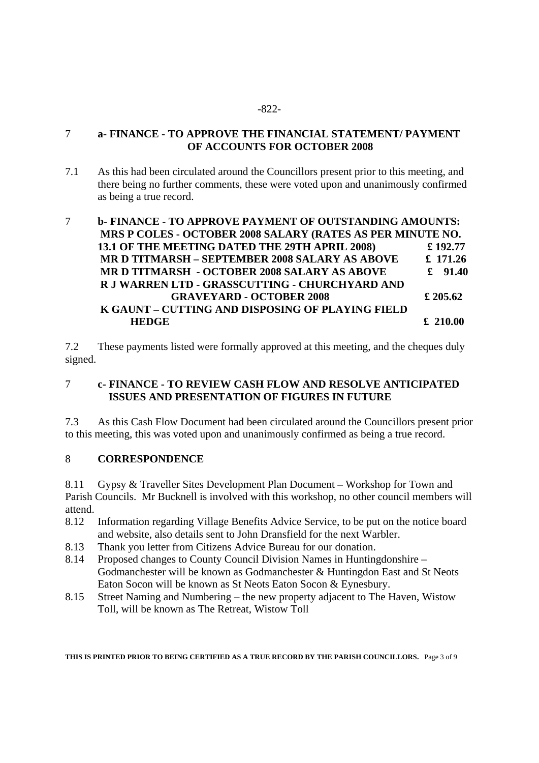#### 7 **a- FINANCE - TO APPROVE THE FINANCIAL STATEMENT/ PAYMENT OF ACCOUNTS FOR OCTOBER 2008**

7.1 As this had been circulated around the Councillors present prior to this meeting, and there being no further comments, these were voted upon and unanimously confirmed as being a true record.

# 7 **b- FINANCE - TO APPROVE PAYMENT OF OUTSTANDING AMOUNTS: MRS P COLES - OCTOBER 2008 SALARY (RATES AS PER MINUTE NO. 13.1 OF THE MEETING DATED THE 29TH APRIL 2008) £ 192.77 MR D TITMARSH – SEPTEMBER 2008 SALARY AS ABOVE £ 171.26 MR D TITMARSH - OCTOBER 2008 SALARY AS ABOVE £ 91.40 R J WARREN LTD - GRASSCUTTING - CHURCHYARD AND GRAVEYARD - OCTOBER 2008 £ 205.62 K GAUNT – CUTTING AND DISPOSING OF PLAYING FIELD EXECUTE:** HEDGE **E** 210.00

7.2 These payments listed were formally approved at this meeting, and the cheques duly signed.

# 7 **c- FINANCE - TO REVIEW CASH FLOW AND RESOLVE ANTICIPATED ISSUES AND PRESENTATION OF FIGURES IN FUTURE**

7.3 As this Cash Flow Document had been circulated around the Councillors present prior to this meeting, this was voted upon and unanimously confirmed as being a true record.

# 8 **CORRESPONDENCE**

8.11 Gypsy & Traveller Sites Development Plan Document – Workshop for Town and Parish Councils. Mr Bucknell is involved with this workshop, no other council members will attend.

- 8.12 Information regarding Village Benefits Advice Service, to be put on the notice board and website, also details sent to John Dransfield for the next Warbler.
- 8.13 Thank you letter from Citizens Advice Bureau for our donation.
- 8.14 Proposed changes to County Council Division Names in Huntingdonshire Godmanchester will be known as Godmanchester & Huntingdon East and St Neots Eaton Socon will be known as St Neots Eaton Socon & Eynesbury.
- 8.15 Street Naming and Numbering the new property adjacent to The Haven, Wistow Toll, will be known as The Retreat, Wistow Toll

**THIS IS PRINTED PRIOR TO BEING CERTIFIED AS A TRUE RECORD BY THE PARISH COUNCILLORS.** Page 3 of 9

#### -822-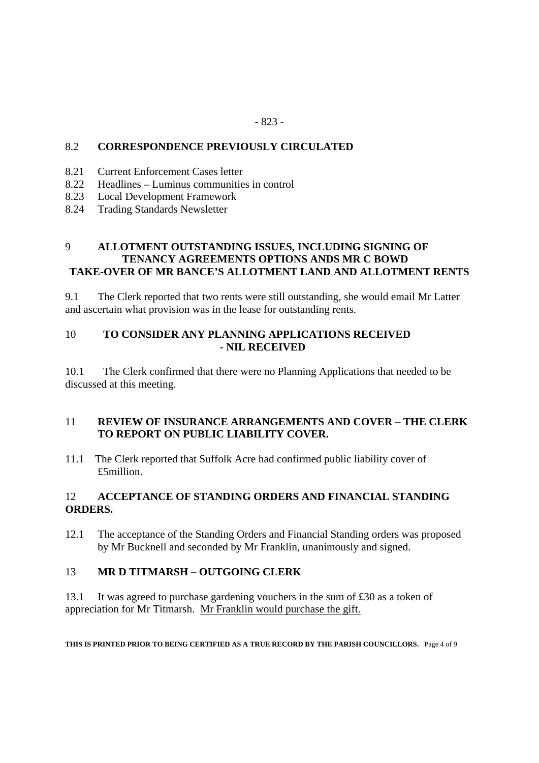#### 8.2 **CORRESPONDENCE PREVIOUSLY CIRCULATED**

- 8.21 Current Enforcement Cases letter
- 8.22 Headlines Luminus communities in control
- 8.23 Local Development Framework
- 8.24 Trading Standards Newsletter

# 9 **ALLOTMENT OUTSTANDING ISSUES, INCLUDING SIGNING OF TENANCY AGREEMENTS OPTIONS ANDS MR C BOWD TAKE-OVER OF MR BANCE'S ALLOTMENT LAND AND ALLOTMENT RENTS**

9.1 The Clerk reported that two rents were still outstanding, she would email Mr Latter and ascertain what provision was in the lease for outstanding rents.

#### 10 **TO CONSIDER ANY PLANNING APPLICATIONS RECEIVED - NIL RECEIVED**

10.1 The Clerk confirmed that there were no Planning Applications that needed to be discussed at this meeting.

#### 11 **REVIEW OF INSURANCE ARRANGEMENTS AND COVER – THE CLERK TO REPORT ON PUBLIC LIABILITY COVER.**

11.1 The Clerk reported that Suffolk Acre had confirmed public liability cover of £5million.

# 12 **ACCEPTANCE OF STANDING ORDERS AND FINANCIAL STANDING ORDERS.**

12.1 The acceptance of the Standing Orders and Financial Standing orders was proposed by Mr Bucknell and seconded by Mr Franklin, unanimously and signed.

#### 13 **MR D TITMARSH – OUTGOING CLERK**

13.1 It was agreed to purchase gardening vouchers in the sum of £30 as a token of appreciation for Mr Titmarsh. Mr Franklin would purchase the gift.

**THIS IS PRINTED PRIOR TO BEING CERTIFIED AS A TRUE RECORD BY THE PARISH COUNCILLORS.** Page 4 of 9

#### - 823 -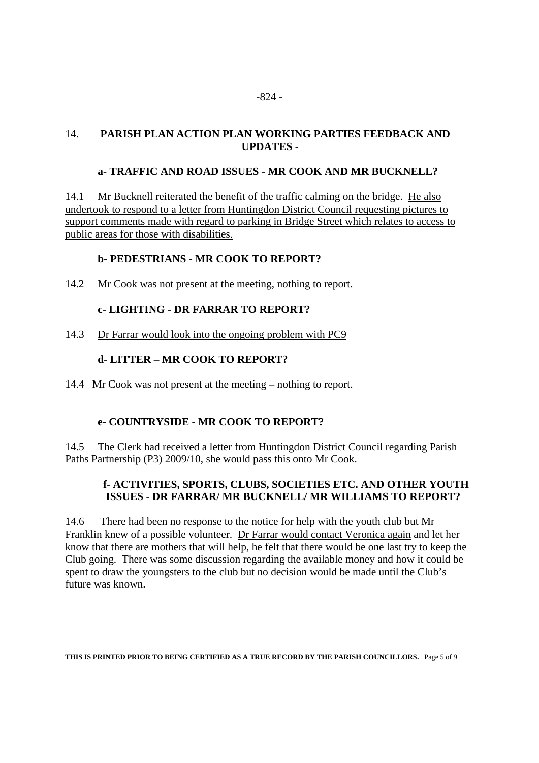#### 14. **PARISH PLAN ACTION PLAN WORKING PARTIES FEEDBACK AND UPDATES -**

#### **a- TRAFFIC AND ROAD ISSUES - MR COOK AND MR BUCKNELL?**

14.1 Mr Bucknell reiterated the benefit of the traffic calming on the bridge. He also undertook to respond to a letter from Huntingdon District Council requesting pictures to support comments made with regard to parking in Bridge Street which relates to access to public areas for those with disabilities.

#### **b- PEDESTRIANS - MR COOK TO REPORT?**

14.2 Mr Cook was not present at the meeting, nothing to report.

#### **c- LIGHTING - DR FARRAR TO REPORT?**

14.3 Dr Farrar would look into the ongoing problem with PC9

#### **d- LITTER – MR COOK TO REPORT?**

14.4 Mr Cook was not present at the meeting – nothing to report.

# **e- COUNTRYSIDE - MR COOK TO REPORT?**

14.5 The Clerk had received a letter from Huntingdon District Council regarding Parish Paths Partnership (P3) 2009/10, she would pass this onto Mr Cook.

# **f- ACTIVITIES, SPORTS, CLUBS, SOCIETIES ETC. AND OTHER YOUTH ISSUES - DR FARRAR/ MR BUCKNELL/ MR WILLIAMS TO REPORT?**

14.6 There had been no response to the notice for help with the youth club but Mr Franklin knew of a possible volunteer. Dr Farrar would contact Veronica again and let her know that there are mothers that will help, he felt that there would be one last try to keep the Club going. There was some discussion regarding the available money and how it could be spent to draw the youngsters to the club but no decision would be made until the Club's future was known.

**THIS IS PRINTED PRIOR TO BEING CERTIFIED AS A TRUE RECORD BY THE PARISH COUNCILLORS.** Page 5 of 9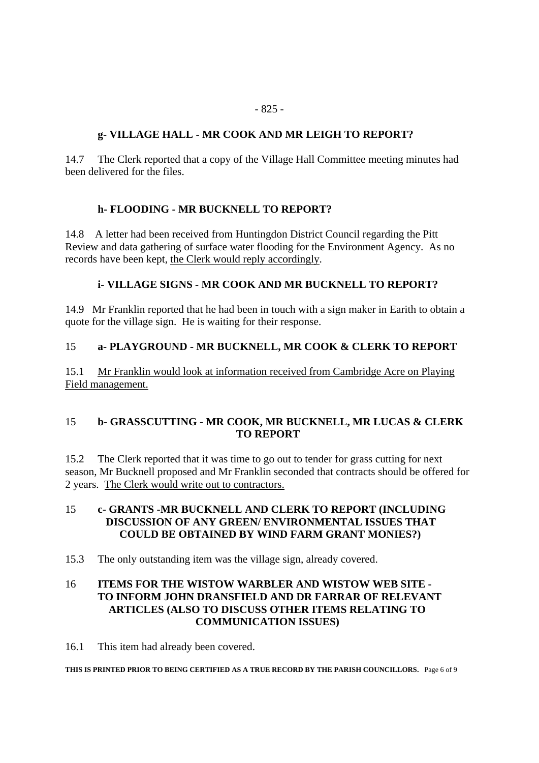# **g- VILLAGE HALL - MR COOK AND MR LEIGH TO REPORT?**

14.7 The Clerk reported that a copy of the Village Hall Committee meeting minutes had been delivered for the files.

# **h- FLOODING - MR BUCKNELL TO REPORT?**

14.8 A letter had been received from Huntingdon District Council regarding the Pitt Review and data gathering of surface water flooding for the Environment Agency. As no records have been kept, the Clerk would reply accordingly.

# **i- VILLAGE SIGNS - MR COOK AND MR BUCKNELL TO REPORT?**

14.9 Mr Franklin reported that he had been in touch with a sign maker in Earith to obtain a quote for the village sign. He is waiting for their response.

# 15 **a- PLAYGROUND - MR BUCKNELL, MR COOK & CLERK TO REPORT**

15.1 Mr Franklin would look at information received from Cambridge Acre on Playing Field management.

# 15 **b- GRASSCUTTING - MR COOK, MR BUCKNELL, MR LUCAS & CLERK TO REPORT**

15.2 The Clerk reported that it was time to go out to tender for grass cutting for next season, Mr Bucknell proposed and Mr Franklin seconded that contracts should be offered for 2 years. The Clerk would write out to contractors.

# 15 **c- GRANTS -MR BUCKNELL AND CLERK TO REPORT (INCLUDING DISCUSSION OF ANY GREEN/ ENVIRONMENTAL ISSUES THAT COULD BE OBTAINED BY WIND FARM GRANT MONIES?)**

15.3 The only outstanding item was the village sign, already covered.

# 16 **ITEMS FOR THE WISTOW WARBLER AND WISTOW WEB SITE - TO INFORM JOHN DRANSFIELD AND DR FARRAR OF RELEVANT ARTICLES (ALSO TO DISCUSS OTHER ITEMS RELATING TO COMMUNICATION ISSUES)**

16.1 This item had already been covered.

**THIS IS PRINTED PRIOR TO BEING CERTIFIED AS A TRUE RECORD BY THE PARISH COUNCILLORS.** Page 6 of 9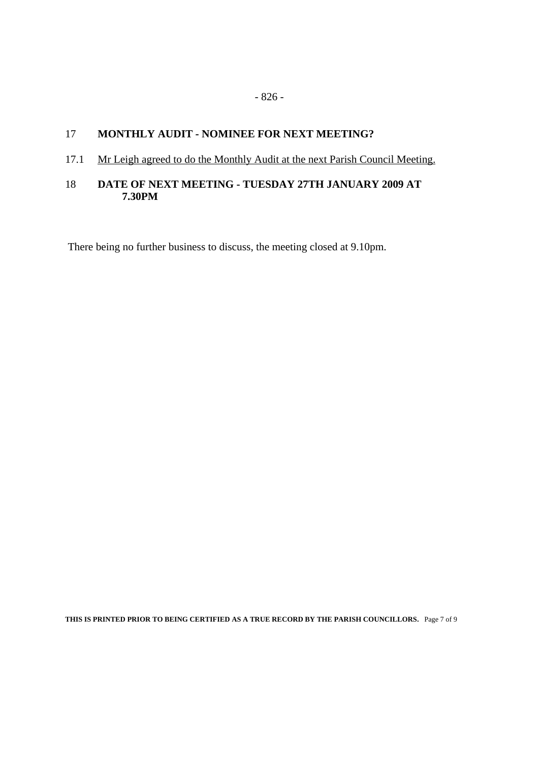#### 17 **MONTHLY AUDIT - NOMINEE FOR NEXT MEETING?**

#### 17.1 Mr Leigh agreed to do the Monthly Audit at the next Parish Council Meeting.

#### 18 **DATE OF NEXT MEETING - TUESDAY 27TH JANUARY 2009 AT 7.30PM**

There being no further business to discuss, the meeting closed at 9.10pm.

**THIS IS PRINTED PRIOR TO BEING CERTIFIED AS A TRUE RECORD BY THE PARISH COUNCILLORS.** Page 7 of 9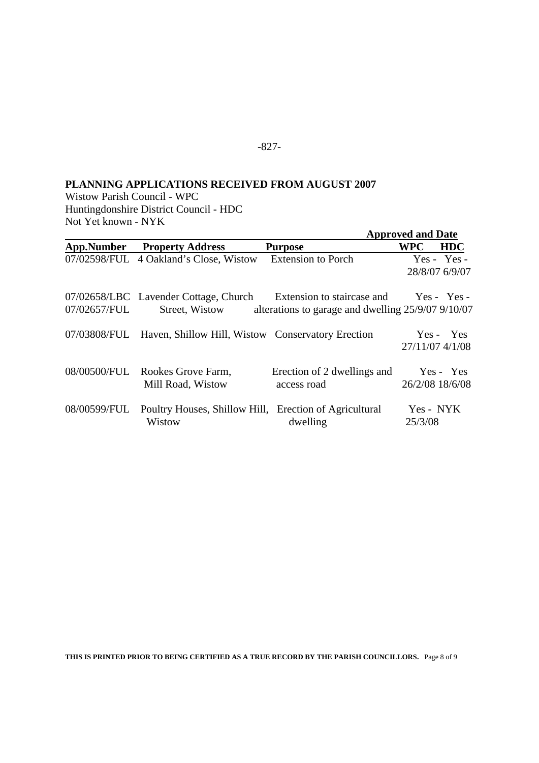# -827-

# **PLANNING APPLICATIONS RECEIVED FROM AUGUST 2007**

Wistow Parish Council - WPC Huntingdonshire District Council - HDC Not Yet known - NYK

|              |                                                                  |                                                                                              | <b>Approved and Date</b> |                                 |
|--------------|------------------------------------------------------------------|----------------------------------------------------------------------------------------------|--------------------------|---------------------------------|
| App.Number   | <b>Property Address</b>                                          | <b>Purpose</b>                                                                               | <b>WPC</b>               | <b>HDC</b>                      |
|              | 07/02598/FUL 4 Oakland's Close, Wistow                           | <b>Extension to Porch</b>                                                                    |                          | $Yes - Yes -$<br>28/8/07 6/9/07 |
| 07/02657/FUL | 07/02658/LBC Lavender Cottage, Church<br>Street, Wistow          | Extension to staircase and Yes - Yes -<br>alterations to garage and dwelling 25/9/07 9/10/07 |                          |                                 |
|              | 07/03808/FUL Haven, Shillow Hill, Wistow Conservatory Erection   |                                                                                              |                          | Yes - Yes<br>27/11/07 4/1/08    |
| 08/00500/FUL | Rookes Grove Farm,<br>Mill Road, Wistow                          | Erection of 2 dwellings and<br>access road                                                   |                          | Yes - Yes<br>26/2/08 18/6/08    |
| 08/00599/FUL | Poultry Houses, Shillow Hill, Erection of Agricultural<br>Wistow | dwelling                                                                                     | Yes - NYK<br>25/3/08     |                                 |

**THIS IS PRINTED PRIOR TO BEING CERTIFIED AS A TRUE RECORD BY THE PARISH COUNCILLORS.** Page 8 of 9